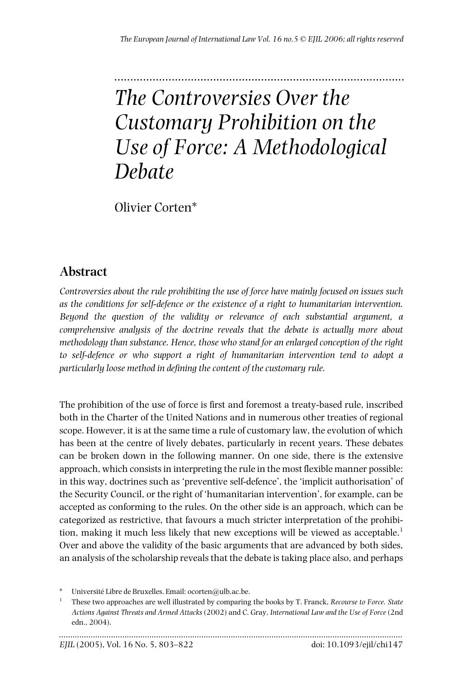# ........................................................................................... *The Controversies Over the Customary Prohibition on the Use of Force: A Methodological Debate*

Olivier Corten\*

# **Abstract**

*Controversies about the rule prohibiting the use of force have mainly focused on issues such as the conditions for self-defence or the existence of a right to humanitarian intervention. Beyond the question of the validity or relevance of each substantial argument, a comprehensive analysis of the doctrine reveals that the debate is actually more about methodology than substance. Hence, those who stand for an enlarged conception of the right to self-defence or who support a right of humanitarian intervention tend to adopt a particularly loose method in defining the content of the customary rule.*

The prohibition of the use of force is first and foremost a treaty-based rule, inscribed both in the Charter of the United Nations and in numerous other treaties of regional scope. However, it is at the same time a rule of customary law, the evolution of which has been at the centre of lively debates, particularly in recent years. These debates can be broken down in the following manner. On one side, there is the extensive approach, which consists in interpreting the rule in the most flexible manner possible: in this way, doctrines such as 'preventive self-defence', the 'implicit authorisation' of the Security Council, or the right of 'humanitarian intervention', for example, can be accepted as conforming to the rules. On the other side is an approach, which can be categorized as restrictive, that favours a much stricter interpretation of the prohibition, making it much less likely that new exceptions will be viewed as acceptable.<sup>1</sup> Over and above the validity of the basic arguments that are advanced by both sides, an analysis of the scholarship reveals that the debate is taking place also, and perhaps

Université Libre de Bruxelles. Email: ocorten@ulb.ac.be.

<sup>1</sup> These two approaches are well illustrated by comparing the books by T. Franck, *Recourse to Force. State Actions Against Threats and Armed Attacks* (2002) and C. Gray, *International Law and the Use of Force* (2nd edn., 2004).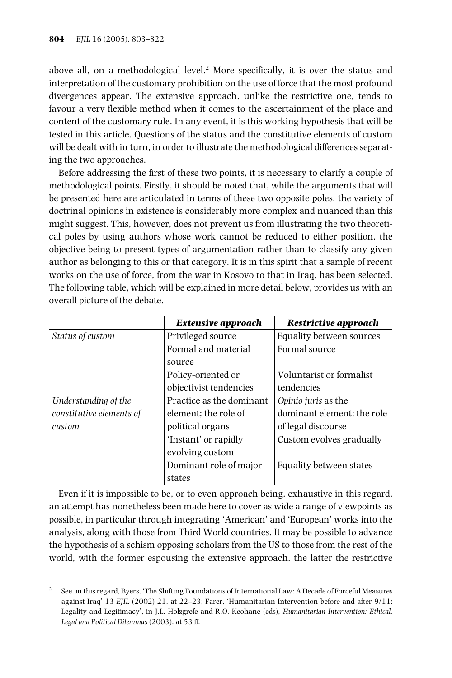above all, on a methodological level.<sup>2</sup> More specifically, it is over the status and interpretation of the customary prohibition on the use of force that the most profound divergences appear. The extensive approach, unlike the restrictive one, tends to favour a very flexible method when it comes to the ascertainment of the place and content of the customary rule. In any event, it is this working hypothesis that will be tested in this article. Questions of the status and the constitutive elements of custom will be dealt with in turn, in order to illustrate the methodological differences separating the two approaches.

Before addressing the first of these two points, it is necessary to clarify a couple of methodological points. Firstly, it should be noted that, while the arguments that will be presented here are articulated in terms of these two opposite poles, the variety of doctrinal opinions in existence is considerably more complex and nuanced than this might suggest. This, however, does not prevent us from illustrating the two theoretical poles by using authors whose work cannot be reduced to either position, the objective being to present types of argumentation rather than to classify any given author as belonging to this or that category. It is in this spirit that a sample of recent works on the use of force, from the war in Kosovo to that in Iraq, has been selected. The following table, which will be explained in more detail below, provides us with an overall picture of the debate.

|                          | <b>Extensive approach</b> | <b>Restrictive approach</b> |
|--------------------------|---------------------------|-----------------------------|
| Status of custom         | Privileged source         | Equality between sources    |
|                          | Formal and material       | Formal source               |
|                          | source                    |                             |
|                          | Policy-oriented or        | Voluntarist or formalist    |
|                          | objectivist tendencies    | tendencies                  |
| Understanding of the     | Practice as the dominant  | Opinio juris as the         |
| constitutive elements of | element: the role of      | dominant element; the role  |
| custom                   | political organs          | of legal discourse          |
|                          | 'Instant' or rapidly      | Custom evolves gradually    |
|                          | evolving custom           |                             |
|                          | Dominant role of major    | Equality between states     |
|                          | states                    |                             |

Even if it is impossible to be, or to even approach being, exhaustive in this regard, an attempt has nonetheless been made here to cover as wide a range of viewpoints as possible, in particular through integrating 'American' and 'European' works into the analysis, along with those from Third World countries. It may be possible to advance the hypothesis of a schism opposing scholars from the US to those from the rest of the world, with the former espousing the extensive approach, the latter the restrictive

<sup>2</sup> See, in this regard, Byers, 'The Shifting Foundations of International Law: A Decade of Forceful Measures against Iraq' 13 *EJIL* (2002) 21, at 22–23; Farer, 'Humanitarian Intervention before and after 9/11: Legality and Legitimacy', in J.L. Holzgrefe and R.O. Keohane (eds), *Humanitarian Intervention: Ethical, Legal and Political Dilemmas* (2003), at 53 ff.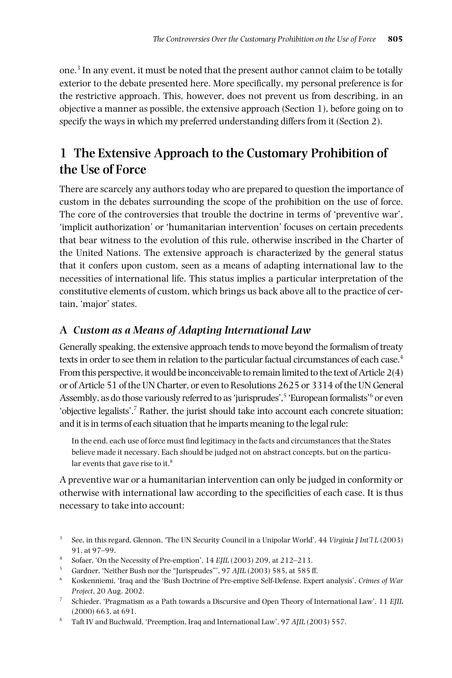one. <sup>3</sup> In any event, it must be noted that the present author cannot claim to be totally exterior to the debate presented here. More specifically, my personal preference is for the restrictive approach. This, however, does not prevent us from describing, in an objective a manner as possible, the extensive approach (Section 1), before going on to specify the ways in which my preferred understanding differs from it (Section 2).

# **1 The Extensive Approach to the Customary Prohibition of the Use of Force**

There are scarcely any authors today who are prepared to question the importance of custom in the debates surrounding the scope of the prohibition on the use of force. The core of the controversies that trouble the doctrine in terms of 'preventive war', 'implicit authorization' or 'humanitarian intervention' focuses on certain precedents that bear witness to the evolution of this rule, otherwise inscribed in the Charter of the United Nations. The extensive approach is characterized by the general status that it confers upon custom, seen as a means of adapting international law to the necessities of international life. This status implies a particular interpretation of the constitutive elements of custom, which brings us back above all to the practice of certain, 'major' states.

### **A** *Custom as a Means of Adapting International Law*

Generally speaking, the extensive approach tends to move beyond the formalism of treaty texts in order to see them in relation to the particular factual circumstances of each case. $^4$ From this perspective, it would be inconceivable to remain limited to the text of Article 2(4) or of Article 51 of the UN Charter, or even to Resolutions 2625 or 3314 of the UN General Assembly, as do those variously referred to as'jurisprudes', <sup>5</sup> 'European formalists' <sup>6</sup> or even 'objective legalists'. <sup>7</sup> Rather, the jurist should take into account each concrete situation; and it is in terms of each situation that he imparts meaning to the legal rule:

In the end, each use of force must find legitimacy in the facts and circumstances that the States believe made it necessary. Each should be judged not on abstract concepts, but on the particular events that gave rise to it.<sup>8</sup>

A preventive war or a humanitarian intervention can only be judged in conformity or otherwise with international law according to the specificities of each case. It is thus necessary to take into account:

- <sup>3</sup> See, in this regard, Glennon, 'The UN Security Council in a Unipolar World', 44 *Virginia J Int'l L* (2003) 91, at 97–99.
- <sup>4</sup> Sofaer, 'On the Necessity of Pre-emption', 14 *EJIL* (2003) 209, at 212–213.
- <sup>5</sup> Gardner, 'Neither Bush nor the "Jurisprudes"', 97 *AJIL* (2003) 585, at 585 ff.<br><sup>6</sup> Koskenniemi, 'Trag and the 'Bush Doctrine of Pre-emptive Self-Defense. Expe
- <sup>6</sup> Koskenniemi, 'Iraq and the 'Bush Doctrine of Pre-emptive Self-Defense. Expert analysis', *Crimes of War Project*, 20 Aug. 2002.
- <sup>7</sup> Schieder, 'Pragmatism as a Path towards a Discursive and Open Theory of International Law', 11 *EJIL* (2000) 663, at 691.
- <sup>8</sup> Taft IV and Buchwald, 'Preemption, Iraq and International Law', 97 *AJIL* (2003) 557.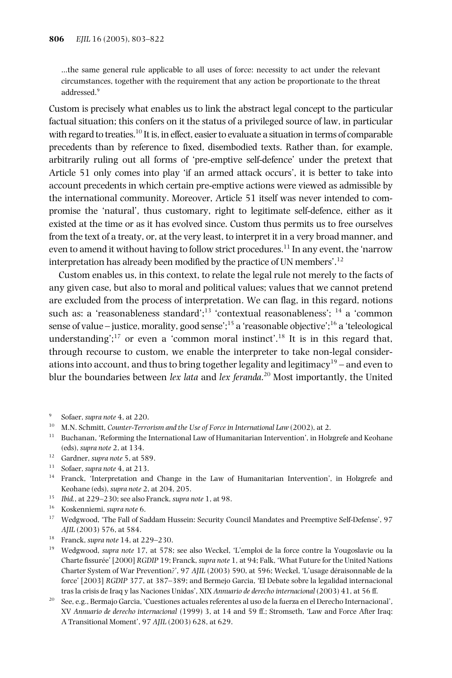…the same general rule applicable to all uses of force: necessity to act under the relevant circumstances, together with the requirement that any action be proportionate to the threat addressed. 9

Custom is precisely what enables us to link the abstract legal concept to the particular factual situation; this confers on it the status of a privileged source of law, in particular with regard to treaties. $^{10}$  It is, in effect, easier to evaluate a situation in terms of comparable precedents than by reference to fixed, disembodied texts. Rather than, for example, arbitrarily ruling out all forms of 'pre-emptive self-defence' under the pretext that Article 51 only comes into play 'if an armed attack occurs', it is better to take into account precedents in which certain pre-emptive actions were viewed as admissible by the international community. Moreover, Article 51 itself was never intended to compromise the 'natural', thus customary, right to legitimate self-defence, either as it existed at the time or as it has evolved since. Custom thus permits us to free ourselves from the text of a treaty, or, at the very least, to interpret it in a very broad manner, and even to amend it without having to follow strict procedures.<sup>11</sup> In any event, the 'narrow interpretation has already been modified by the practice of UN members'. 12

Custom enables us, in this context, to relate the legal rule not merely to the facts of any given case, but also to moral and political values; values that we cannot pretend are excluded from the process of interpretation. We can flag, in this regard, notions such as: a 'reasonableness standard';<sup>13</sup> 'contextual reasonableness'; <sup>14</sup> a 'common sense of value – justice, morality, good sense';<sup>15</sup> a 'reasonable objective';<sup>16</sup> a 'teleological understanding';<sup>17</sup> or even a 'common moral instinct'.<sup>18</sup> It is in this regard that, through recourse to custom, we enable the interpreter to take non-legal considerations into account, and thus to bring together legality and legitimacy<sup>19</sup> – and even to blur the boundaries between *lex lata* and *lex feranda*. <sup>20</sup> Most importantly, the United

- <sup>9</sup> Sofaer, *supra note* 4, at 220.
- <sup>10</sup> M.N. Schmitt, *Counter-Terrorism and the Use of Force in International Law* (2002), at 2.
- $11$  Buchanan, 'Reforming the International Law of Humanitarian Intervention', in Holzgrefe and Keohane (eds), *supra note* 2, at 134.
- <sup>12</sup> Gardner, *supra note* 5, at 589.
- <sup>13</sup> Sofaer, *supra note* 4, at 213.
- <sup>14</sup> Franck, 'Interpretation and Change in the Law of Humanitarian Intervention', in Holzgrefe and Keohane (eds), *supra note* 2, at 204, 205.
- <sup>15</sup> *Ibid.*, at 229–230; see also Franck, *supra note* 1, at 98.
- <sup>16</sup> Koskenniemi, *supra note* 6.
- <sup>17</sup> Wedgwood, 'The Fall of Saddam Hussein: Security Council Mandates and Preemptive Self-Defense', 97 *AJIL* (2003) 576, at 584.
- <sup>18</sup> Franck, *supra note* 14, at 229–230.
- <sup>19</sup> Wedgwood, *supra note* 17, at 578; see also Weckel, 'L'emploi de la force contre la Yougoslavie ou la Charte fissurée' [2000] *RGDIP* 19; Franck, *supra note* 1, at 94; Falk, 'What Future for the United Nations Charter System of War Prevention?', 97 *AJIL* (2003) 590, at 596; Weckel, 'L'usage déraisonnable de la force' [2003] *RGDIP* 377, at 387–389; and Bermejo Garcia, 'El Debate sobre la legalidad internacional tras la crisis de Iraq y las Naciones Unidas', XIX *Annuario de derecho internacional* (2003) 41, at 56 ff.
- <sup>20</sup> See, e.g., Bermajo Garcia, 'Cuestiones actuales referentes al uso de la fuerza en el Derecho Internacional', XV *Annuario de derecho internacional* (1999) 3, at 14 and 59 ff.; Stromseth, 'Law and Force After Iraq: A Transitional Moment', 97 *AJIL* (2003) 628, at 629.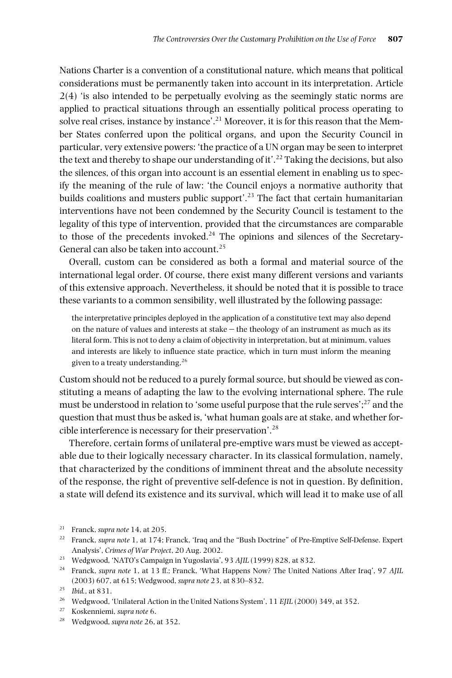Nations Charter is a convention of a constitutional nature, which means that political considerations must be permanently taken into account in its interpretation. Article 2(4) 'is also intended to be perpetually evolving as the seemingly static norms are applied to practical situations through an essentially political process operating to solve real crises, instance by instance'. <sup>21</sup> Moreover, it is for this reason that the Member States conferred upon the political organs, and upon the Security Council in particular, very extensive powers: 'the practice of a UN organ may be seen to interpret the text and thereby to shape our understanding of it'.<sup>22</sup> Taking the decisions, but also the silences, of this organ into account is an essential element in enabling us to specify the meaning of the rule of law: 'the Council enjoys a normative authority that builds coalitions and musters public support'. <sup>23</sup> The fact that certain humanitarian interventions have not been condemned by the Security Council is testament to the legality of this type of intervention, provided that the circumstances are comparable to those of the precedents invoked. <sup>24</sup> The opinions and silences of the Secretary-General can also be taken into account. 25

Overall, custom can be considered as both a formal and material source of the international legal order. Of course, there exist many different versions and variants of this extensive approach. Nevertheless, it should be noted that it is possible to trace these variants to a common sensibility, well illustrated by the following passage:

the interpretative principles deployed in the application of a constitutive text may also depend on the nature of values and interests at stake – the theology of an instrument as much as its literal form. This is not to deny a claim of objectivity in interpretation, but at minimum, values and interests are likely to influence state practice, which in turn must inform the meaning given to a treaty understanding.<sup>26</sup>

Custom should not be reduced to a purely formal source, but should be viewed as constituting a means of adapting the law to the evolving international sphere. The rule must be understood in relation to 'some useful purpose that the rule serves'; <sup>27</sup> and the question that must thus be asked is, 'what human goals are at stake, and whether forcible interference is necessary for their preservation'.<sup>28</sup>

Therefore, certain forms of unilateral pre-emptive wars must be viewed as acceptable due to their logically necessary character. In its classical formulation, namely, that characterized by the conditions of imminent threat and the absolute necessity of the response, the right of preventive self-defence is not in question. By definition, a state will defend its existence and its survival, which will lead it to make use of all

<sup>21</sup> Franck, *supra note* 14, at 205.

<sup>22</sup> Franck, *supra note* 1, at 174; Franck, 'Iraq and the "Bush Doctrine" of Pre-Emptive Self-Defense. Expert Analysis', *Crimes of War Project*, 20 Aug. 2002.

<sup>23</sup> Wedgwood, 'NATO's Campaign in Yugoslavia', 93 *AJIL* (1999) 828, at 832.

<sup>24</sup> Franck, *supra note* 1, at 13 ff.; Franck, 'What Happens Now? The United Nations After Iraq', 97 *AJIL* (2003) 607, at 615; Wedgwood, *supra note* 23, at 830–832.

 $^{25}$  *Ibid.*, at 831.

<sup>26</sup> Wedgwood, 'Unilateral Action in the United Nations System', 11 *EJIL* (2000) 349, at 352.

<sup>27</sup> Koskenniemi, *supra note* 6.

<sup>28</sup> Wedgwood, *supra note* 26, at 352.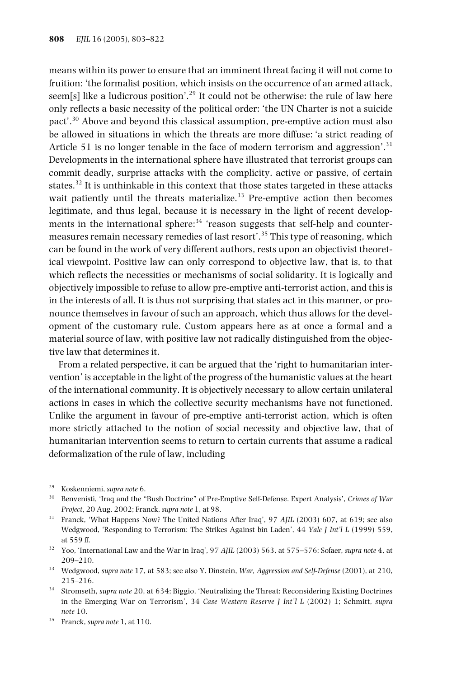means within its power to ensure that an imminent threat facing it will not come to fruition: 'the formalist position, which insists on the occurrence of an armed attack, seem[s] like a ludicrous position'.<sup>29</sup> It could not be otherwise: the rule of law here only reflects a basic necessity of the political order: 'the UN Charter is not a suicide pact'.<sup>30</sup> Above and beyond this classical assumption, pre-emptive action must also be allowed in situations in which the threats are more diffuse: 'a strict reading of Article 51 is no longer tenable in the face of modern terrorism and aggression'.<sup>31</sup> Developments in the international sphere have illustrated that terrorist groups can commit deadly, surprise attacks with the complicity, active or passive, of certain states.<sup>32</sup> It is unthinkable in this context that those states targeted in these attacks wait patiently until the threats materialize.<sup>33</sup> Pre-emptive action then becomes legitimate, and thus legal, because it is necessary in the light of recent developments in the international sphere:<sup>34</sup> 'reason suggests that self-help and countermeasures remain necessary remedies of last resort'. <sup>35</sup> This type of reasoning, which can be found in the work of very different authors, rests upon an objectivist theoretical viewpoint. Positive law can only correspond to objective law, that is, to that which reflects the necessities or mechanisms of social solidarity. It is logically and objectively impossible to refuse to allow pre-emptive anti-terrorist action, and this is in the interests of all. It is thus not surprising that states act in this manner, or pronounce themselves in favour of such an approach, which thus allows for the development of the customary rule. Custom appears here as at once a formal and a material source of law, with positive law not radically distinguished from the objective law that determines it.

From a related perspective, it can be argued that the 'right to humanitarian intervention' is acceptable in the light of the progress of the humanistic values at the heart of the international community. It is objectively necessary to allow certain unilateral actions in cases in which the collective security mechanisms have not functioned. Unlike the argument in favour of pre-emptive anti-terrorist action, which is often more strictly attached to the notion of social necessity and objective law, that of humanitarian intervention seems to return to certain currents that assume a radical deformalization of the rule of law, including

- <sup>29</sup> Koskenniemi, *supra note* 6.
- <sup>30</sup> Benvenisti, 'Iraq and the "Bush Doctrine" of Pre-Emptive Self-Defense. Expert Analysis', *Crimes of War Project*, 20 Aug. 2002; Franck, *supra note* 1, at 98.
- <sup>31</sup> Franck, 'What Happens Now? The United Nations After Iraq', 97 *AJIL* (2003) 607, at 619; see also Wedgwood, 'Responding to Terrorism: The Strikes Against bin Laden', 44 *Yale J Int'l L* (1999) 559, at 559 ff.
- <sup>32</sup> Yoo, 'International Law and the War in Iraq', 97 *AJIL* (2003) 563, at 575–576; Sofaer, *supra note* 4, at 209–210.
- <sup>33</sup> Wedgwood, *supra note* 17, at 583; see also Y. Dinstein, *War, Aggression and Self-Defense* (2001), at 210, 215–216.
- <sup>34</sup> Stromseth, *supra note* 20, at 634; Biggio, 'Neutralizing the Threat: Reconsidering Existing Doctrines in the Emerging War on Terrorism', 34 *Case Western Reserve J Int'l L* (2002) 1; Schmitt, *supra note* 10.
- <sup>35</sup> Franck, *supra note* 1, at 110.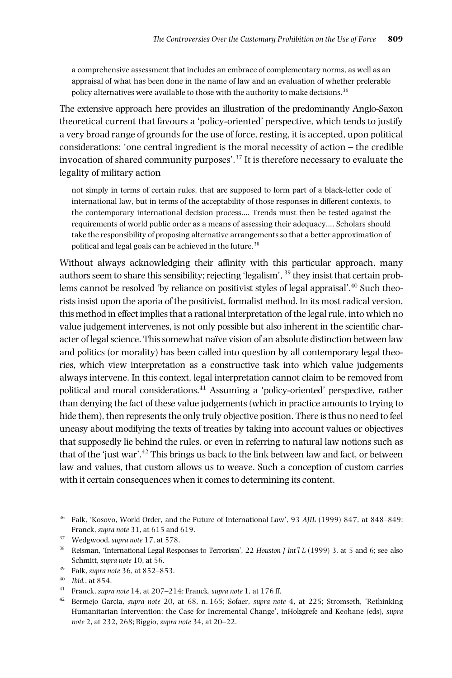a comprehensive assessment that includes an embrace of complementary norms, as well as an appraisal of what has been done in the name of law and an evaluation of whether preferable policy alternatives were available to those with the authority to make decisions.  $^{36}$ 

The extensive approach here provides an illustration of the predominantly Anglo-Saxon theoretical current that favours a 'policy-oriented' perspective, which tends to justify a very broad range of grounds forthe use of force, resting, it is accepted, upon political considerations: 'one central ingredient is the moral necessity of action – the credible invocation of shared community purposes'. <sup>37</sup> It is therefore necessary to evaluate the legality of military action

not simply in terms of certain rules, that are supposed to form part of a black-letter code of international law, but in terms of the acceptability of those responses in different contexts, to the contemporary international decision process…. Trends must then be tested against the requirements of world public order as a means of assessing their adequacy…. Scholars should take the responsibility of proposing alternative arrangementsso that a better approximation of political and legal goals can be achieved in the future. 38

Without always acknowledging their affinity with this particular approach, many authors seem to share this sensibility; rejecting 'legalism',  $^{39}$  they insist that certain problems cannot be resolved 'by reliance on positivist styles of legal appraisal'. <sup>40</sup> Such theorists insist upon the aporia of the positivist, formalist method. In its most radical version, this method in effect implies that a rational interpretation of the legal rule, into which no value judgement intervenes, is not only possible but also inherent in the scientific character of legal science. This somewhat naïve vision of an absolute distinction between law and politics (or morality) has been called into question by all contemporary legal theories, which view interpretation as a constructive task into which value judgements always intervene. In this context, legal interpretation cannot claim to be removed from political and moral considerations. <sup>41</sup> Assuming a 'policy-oriented' perspective, rather than denying the fact of these value judgements (which in practice amounts to trying to hide them), then represents the only truly objective position. There is thus no need to feel uneasy about modifying the texts of treaties by taking into account values or objectives that supposedly lie behind the rules, or even in referring to natural law notions such as that of the 'just war'. <sup>42</sup> This brings us back to the link between law and fact, or between law and values, that custom allows us to weave. Such a conception of custom carries with it certain consequences when it comes to determining its content.

<sup>36</sup> Falk, 'Kosovo, World Order, and the Future of International Law', 93 *AJIL* (1999) 847, at 848–849; Franck, *supra note* 31, at 615 and 619.

<sup>37</sup> Wedgwood, *supra note* 17, at 578.

<sup>38</sup> Reisman, 'International Legal Responses to Terrorism', 22 *Houston J Int'l L* (1999) 3, at 5 and 6; see also Schmitt, *supra note* 10, at 56.

<sup>39</sup> Falk, *supra note* 36, at 852–853.

<sup>40</sup> *Ibid.*, at 854.

<sup>&</sup>lt;sup>41</sup> Franck, *supra note* 14, at 207–214; Franck, *supra note* 1, at 176 ff.<br><sup>42</sup> Pormaio Caraio, gunus note 20, at 68, p. 165; Sofoon, gunus not

<sup>42</sup> Bermejo Garcia, *supra note* 20, at 68, n. 165; Sofaer, *supra note* 4, at 225; Stromseth, 'Rethinking Humanitarian Intervention: the Case for Incremental Change', inHolzgrefe and Keohane (eds), *supra note* 2, at 232, 268; Biggio, *supra note* 34, at 20–22.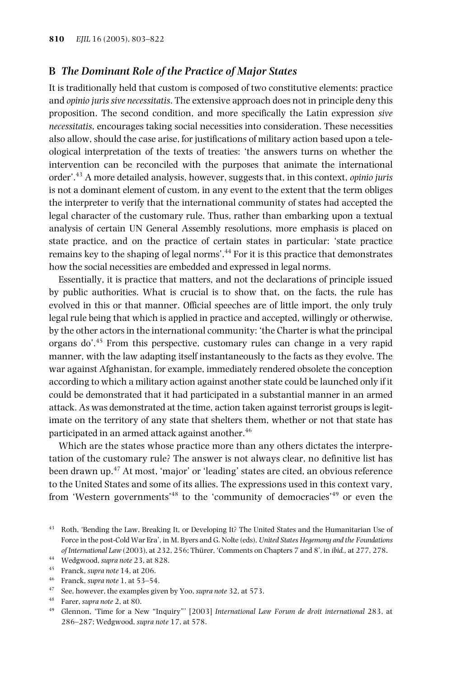#### **B** *The Dominant Role of the Practice of Major States*

It is traditionally held that custom is composed of two constitutive elements: practice and *opinio juris sive necessitatis*. The extensive approach does not in principle deny this proposition. The second condition, and more specifically the Latin expression *sive necessitatis*, encourages taking social necessities into consideration. These necessities also allow, should the case arise, for justifications of military action based upon a teleological interpretation of the texts of treaties: 'the answers turns on whether the intervention can be reconciled with the purposes that animate the international order'. <sup>43</sup> A more detailed analysis, however, suggests that, in this context, *opinio juris* is not a dominant element of custom, in any event to the extent that the term obliges the interpreter to verify that the international community of states had accepted the legal character of the customary rule. Thus, rather than embarking upon a textual analysis of certain UN General Assembly resolutions, more emphasis is placed on state practice, and on the practice of certain states in particular: 'state practice remains key to the shaping of legal norms'.<sup>44</sup> For it is this practice that demonstrates how the social necessities are embedded and expressed in legal norms.

Essentially, it is practice that matters, and not the declarations of principle issued by public authorities. What is crucial is to show that, on the facts, the rule has evolved in this or that manner. Official speeches are of little import, the only truly legal rule being that which is applied in practice and accepted, willingly or otherwise, by the other actors in the international community: 'the Charter is what the principal organs do'. <sup>45</sup> From this perspective, customary rules can change in a very rapid manner, with the law adapting itself instantaneously to the facts as they evolve. The war against Afghanistan, for example, immediately rendered obsolete the conception according to which a military action against another state could be launched only if it could be demonstrated that it had participated in a substantial manner in an armed attack. As was demonstrated at the time, action taken against terrorist groups is legitimate on the territory of any state that shelters them, whether or not that state has participated in an armed attack against another. 46

Which are the states whose practice more than any others dictates the interpretation of the customary rule? The answer is not always clear, no definitive list has been drawn up. <sup>47</sup> At most, 'major' or 'leading' states are cited, an obvious reference to the United States and some of its allies. The expressions used in this context vary, from 'Western governments'<sup>48</sup> to the 'community of democracies'<sup>49</sup> or even the

- <sup>46</sup> Franck, *supra note* 1, at 53–54.
- <sup>47</sup> See, however, the examples given by Yoo, *supra note* 32, at 573.
- <sup>48</sup> Farer, *supra note* 2, at 80.

<sup>43</sup> Roth, 'Bending the Law, Breaking It, or Developing It? The United States and the Humanitarian Use of Force in the post-Cold War Era', in M. Byers and G. Nolte (eds), *United States Hegemony and the Foundations of International Law* (2003), at 232, 256; Thürer, 'Comments on Chapters 7 and 8', in *ibid.,* at 277, 278.

<sup>44</sup> Wedgwood, *supra note* 23, at 828.

<sup>45</sup> Franck, *supra note* 14, at 206.

<sup>49</sup> Glennon, 'Time for a New "Inquiry"' [2003] *International Law Forum de droit international* 283, at 286–287; Wedgwood, *supra note* 17, at 578.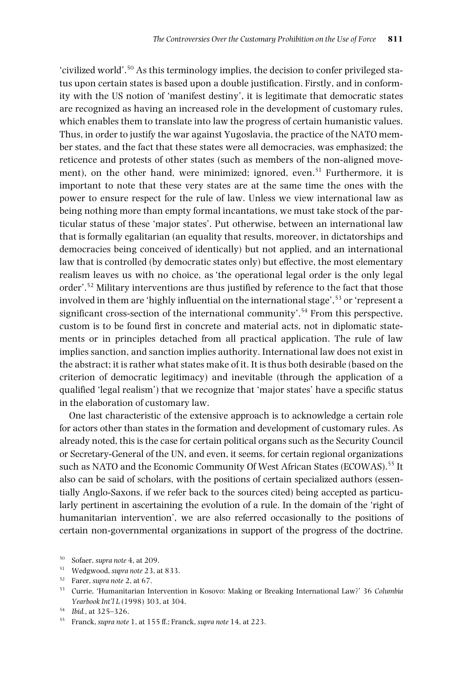'civilized world'. <sup>50</sup> As this terminology implies, the decision to confer privileged status upon certain states is based upon a double justification. Firstly, and in conformity with the US notion of 'manifest destiny', it is legitimate that democratic states are recognized as having an increased role in the development of customary rules, which enables them to translate into law the progress of certain humanistic values. Thus, in order to justify the war against Yugoslavia, the practice of the NATO member states, and the fact that these states were all democracies, was emphasized; the reticence and protests of other states (such as members of the non-aligned movement), on the other hand, were minimized; ignored, even.<sup>51</sup> Furthermore, it is important to note that these very states are at the same time the ones with the power to ensure respect for the rule of law. Unless we view international law as being nothing more than empty formal incantations, we must take stock of the particular status of these 'major states'. Put otherwise, between an international law that is formally egalitarian (an equality that results, moreover, in dictatorships and democracies being conceived of identically) but not applied, and an international law that is controlled (by democratic states only) but effective, the most elementary realism leaves us with no choice, as 'the operational legal order is the only legal order'.<sup>52</sup> Military interventions are thus justified by reference to the fact that those involved in them are 'highly influential on the international stage', <sup>53</sup> or 'represent a significant cross-section of the international community'.<sup>54</sup> From this perspective, custom is to be found first in concrete and material acts, not in diplomatic statements or in principles detached from all practical application. The rule of law implies sanction, and sanction implies authority. International law does not exist in the abstract; it is rather what states make of it. It is thus both desirable (based on the criterion of democratic legitimacy) and inevitable (through the application of a qualified 'legal realism') that we recognize that 'major states' have a specific status in the elaboration of customary law.

One last characteristic of the extensive approach is to acknowledge a certain role for actors other than states in the formation and development of customary rules. As already noted, this is the case for certain political organs such as the Security Council or Secretary-General of the UN, and even, it seems, for certain regional organizations such as NATO and the Economic Community Of West African States (ECOWAS). <sup>55</sup> It also can be said of scholars, with the positions of certain specialized authors (essentially Anglo-Saxons, if we refer back to the sources cited) being accepted as particularly pertinent in ascertaining the evolution of a rule. In the domain of the 'right of humanitarian intervention', we are also referred occasionally to the positions of certain non-governmental organizations in support of the progress of the doctrine.

<sup>50</sup> Sofaer, *supra note* 4, at 209.

<sup>51</sup> Wedgwood, *supra note* 23, at 833.

<sup>52</sup> Farer, *supra note* 2, at 67.

<sup>53</sup> Currie, 'Humanitarian Intervention in Kosovo: Making or Breaking International Law?' 36 *Columbia Yearbook Int'l L* (1998) 303, at 304.

<sup>54</sup> *Ibid.*, at 325–326.

<sup>55</sup> Franck, *supra note* 1, at 155 ff.; Franck, *supra note* 14, at 223.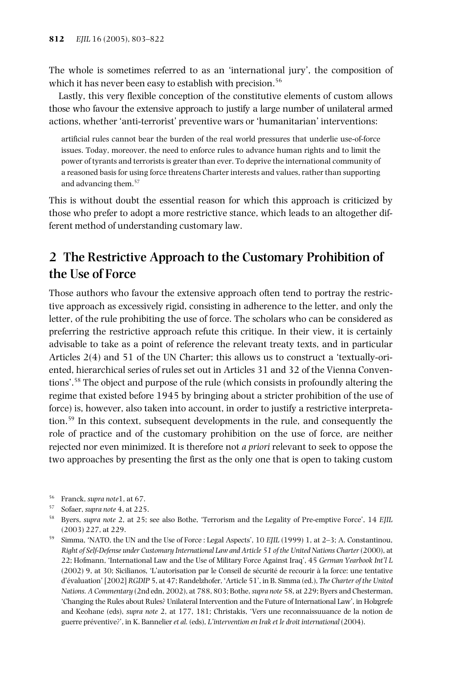The whole is sometimes referred to as an 'international jury', the composition of which it has never been easy to establish with precision.<sup>56</sup>

Lastly, this very flexible conception of the constitutive elements of custom allows those who favour the extensive approach to justify a large number of unilateral armed actions, whether 'anti-terrorist' preventive wars or 'humanitarian' interventions:

artificial rules cannot bear the burden of the real world pressures that underlie use-of-force issues. Today, moreover, the need to enforce rules to advance human rights and to limit the power of tyrants and terrorists is greater than ever. To deprive the international community of a reasoned basis for using force threatens Charter interests and values, rather than supporting and advancing them. 57

This is without doubt the essential reason for which this approach is criticized by those who prefer to adopt a more restrictive stance, which leads to an altogether different method of understanding customary law.

## **2 The Restrictive Approach to the Customary Prohibition of the Use of Force**

Those authors who favour the extensive approach often tend to portray the restrictive approach as excessively rigid, consisting in adherence to the letter, and only the letter, of the rule prohibiting the use of force. The scholars who can be considered as preferring the restrictive approach refute this critique. In their view, it is certainly advisable to take as a point of reference the relevant treaty texts, and in particular Articles 2(4) and 51 of the UN Charter; this allows us to construct a 'textually-oriented, hierarchical series of rules set out in Articles 31 and 32 of the Vienna Conventions'.58 The object and purpose of the rule (which consists in profoundly altering the regime that existed before 1945 by bringing about a stricter prohibition of the use of force) is, however, also taken into account, in order to justify a restrictive interpretation.59 In this context, subsequent developments in the rule, and consequently the role of practice and of the customary prohibition on the use of force, are neither rejected nor even minimized. It is therefore not *a priori* relevant to seek to oppose the two approaches by presenting the first as the only one that is open to taking custom

<sup>56</sup> Franck, *supra note*1, at 67.

<sup>57</sup> Sofaer, *supra note* 4, at 225.

<sup>58</sup> Byers, *supra note* 2, at 25; see also Bothe, 'Terrorism and the Legality of Pre-emptive Force', 14 *EJIL* (2003) 227, at 229.

<sup>59</sup> Simma, 'NATO, the UN and the Use of Force : Legal Aspects', 10 *EJIL* (1999) 1, at 2–3; A. Constantinou, *Right of Self-Defense under Customary International Law and Article 51 of the United Nations Charter*(2000), at 22; Hofmann, 'International Law and the Use of Military Force Against Iraq', 45 *German Yearbook Int'l L* (2002) 9, at 30; Sicilianos, 'L'autorisation par le Conseil de sécurité de recourir à la force: une tentative d'évaluation' [2002] *RGDIP* 5, at 47; Randelzhofer, 'Article 51', in B. Simma (ed.), *The Charter of the United Nations. A Commentary* (2nd edn, 2002), at 788, 803; Bothe,*supra note* 58, at 229; Byers and Chesterman, 'Changing the Rules about Rules? Unilateral Intervention and the Future of International Law', in Holzgrefe and Keohane (eds), *supra note* 2, at 177, 181; Christakis, 'Vers une reconnaissuuance de la notion de guerre préventive?', in K. Bannelier *et al.* (eds), *L'intervention en Irak et le droit international* (2004).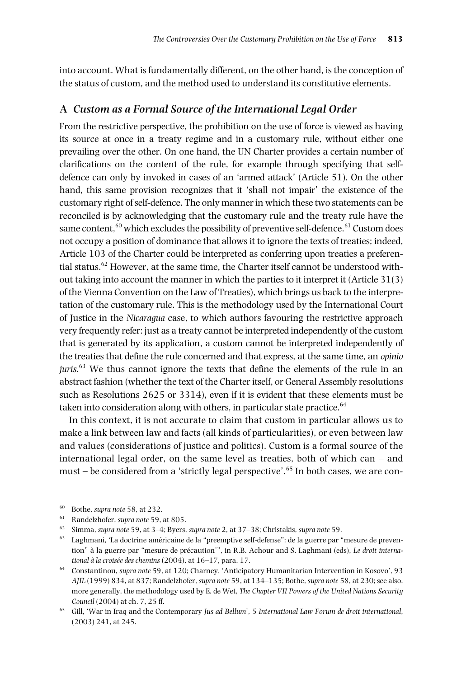into account. What is fundamentally different, on the other hand, is the conception of the status of custom, and the method used to understand its constitutive elements.

### **A** *Custom as a Formal Source of the International Legal Order*

From the restrictive perspective, the prohibition on the use of force is viewed as having its source at once in a treaty regime and in a customary rule, without either one prevailing over the other. On one hand, the UN Charter provides a certain number of clarifications on the content of the rule, for example through specifying that selfdefence can only by invoked in cases of an 'armed attack' (Article 51). On the other hand, this same provision recognizes that it 'shall not impair' the existence of the customary right ofself-defence. The only mannerin which these two statements can be reconciled is by acknowledging that the customary rule and the treaty rule have the same content, $^{60}$  which excludes the possibility of preventive self-defence. $^{61}$  Custom does not occupy a position of dominance that allows it to ignore the texts of treaties; indeed, Article 103 of the Charter could be interpreted as conferring upon treaties a preferential status. <sup>62</sup> However, at the same time, the Charter itself cannot be understood without taking into account the manner in which the parties to it interpret it (Article 31(3) of the Vienna Convention on the Law of Treaties), which brings us back to the interpretation of the customary rule. This is the methodology used by the International Court of Justice in the *Nicaragua* case, to which authors favouring the restrictive approach very frequently refer: just as a treaty cannot be interpreted independently of the custom that is generated by its application, a custom cannot be interpreted independently of the treaties that define the rule concerned and that express, at the same time, an *opinio juris*. <sup>63</sup> We thus cannot ignore the texts that define the elements of the rule in an abstract fashion (whether the text of the Charter itself, or General Assembly resolutions such as Resolutions 2625 or 3314), even if it is evident that these elements must be taken into consideration along with others, in particular state practice. $^{64}$ 

In this context, it is not accurate to claim that custom in particular allows us to make a link between law and facts (all kinds of particularities), or even between law and values (considerations of justice and politics). Custom is a formal source of the international legal order, on the same level as treaties, both of which can – and must – be considered from a 'strictly legal perspective'. <sup>65</sup> In both cases, we are con-

- <sup>61</sup> Randelzhofer, *supra note* 59, at 805.
- <sup>62</sup> Simma, *supra note* 59, at 3–4; Byers, *supra note* 2, at 37–38; Christakis, *supra note* 59.
- <sup>63</sup> Laghmani, 'La doctrine américaine de la "preemptive self-defense": de la guerre par "mesure de prevention" à la guerre par "mesure de précaution'", in R.B. Achour and S. Laghmani (eds), *Le droit international à la croisée des chemins* (2004), at 16–17, para. 17.
- <sup>64</sup> Constantinou, *supra note* 59, at 120; Charney, 'Anticipatory Humanitarian Intervention in Kosovo', 93 *AJIL* (1999) 834, at 837; Randelzhofer, *supra note* 59, at 134–135; Bothe,*supra note* 58, at 230;see also, more generally, the methodology used by E. de Wet, *The Chapter VII Powers of the United Nations Security Council* (2004) at ch. 7, 25 ff.
- <sup>65</sup> Gill, 'War in Iraq and the Contemporary *Jus ad Bellum*', 5 *International Law Forum de droit international*, (2003) 241, at 245.

<sup>60</sup> Bothe, *supra note* 58, at 232.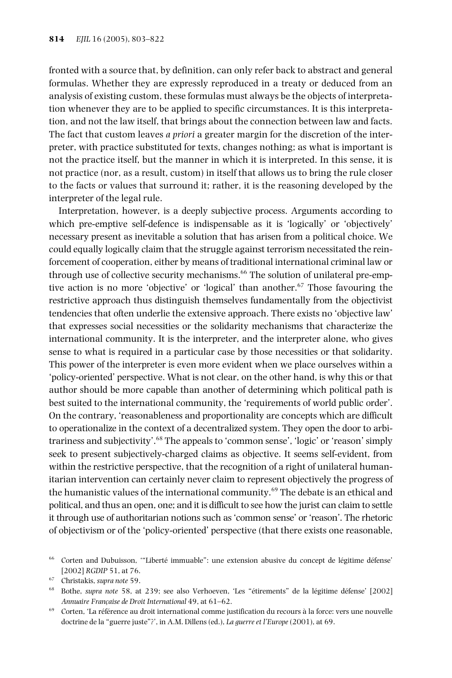fronted with a source that, by definition, can only refer back to abstract and general formulas. Whether they are expressly reproduced in a treaty or deduced from an analysis of existing custom, these formulas must always be the objects of interpretation whenever they are to be applied to specific circumstances. It is this interpretation, and not the law itself, that brings about the connection between law and facts. The fact that custom leaves *a priori* a greater margin for the discretion of the interpreter, with practice substituted for texts, changes nothing; as what is important is not the practice itself, but the manner in which it is interpreted. In this sense, it is not practice (nor, as a result, custom) in itself that allows us to bring the rule closer to the facts or values that surround it; rather, it is the reasoning developed by the interpreter of the legal rule.

Interpretation, however, is a deeply subjective process. Arguments according to which pre-emptive self-defence is indispensable as it is 'logically' or 'objectively' necessary present as inevitable a solution that has arisen from a political choice. We could equally logically claim that the struggle against terrorism necessitated the reinforcement of cooperation, either by means of traditional international criminal law or through use of collective security mechanisms. <sup>66</sup> The solution of unilateral pre-emptive action is no more 'objective' or 'logical' than another. <sup>67</sup> Those favouring the restrictive approach thus distinguish themselves fundamentally from the objectivist tendencies that often underlie the extensive approach. There exists no 'objective law' that expresses social necessities or the solidarity mechanisms that characterize the international community. It is the interpreter, and the interpreter alone, who gives sense to what is required in a particular case by those necessities or that solidarity. This power of the interpreter is even more evident when we place ourselves within a 'policy-oriented' perspective. What is not clear, on the other hand, is why this or that author should be more capable than another of determining which political path is best suited to the international community, the 'requirements of world public order'. On the contrary, 'reasonableness and proportionality are concepts which are difficult to operationalize in the context of a decentralized system. They open the door to arbitrariness and subjectivity'. <sup>68</sup> The appeals to 'common sense', 'logic' or 'reason' simply seek to present subjectively-charged claims as objective. It seems self-evident, from within the restrictive perspective, that the recognition of a right of unilateral humanitarian intervention can certainly never claim to represent objectively the progress of the humanistic values of the international community.<sup>69</sup> The debate is an ethical and political, and thus an open, one; and it is difficult to see how the jurist can claim to settle it through use of authoritarian notions such as 'common sense' or 'reason'. The rhetoric of objectivism or of the 'policy-oriented' perspective (that there exists one reasonable,

<sup>66</sup> Corten and Dubuisson, '"Liberté immuable": une extension abusive du concept de légitime défense' [2002] *RGDIP* 51, at 76.

<sup>67</sup> Christakis, *supra note* 59.

<sup>68</sup> Bothe, *supra note* 58, at 239; see also Verhoeven, 'Les "étirements" de la légitime défense' [2002] *Annuaire Française de Droit International* 49, at 61–62.

<sup>69</sup> Corten, 'La référence au droit international comme justification du recours à la force: vers une nouvelle doctrine de la "guerre juste"?', in A.M. Dillens (ed.), *La guerre et l'Europe* (2001), at 69.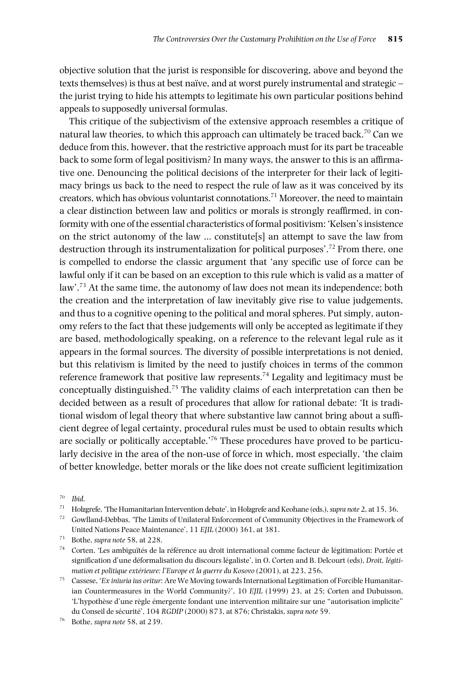objective solution that the jurist is responsible for discovering, above and beyond the texts themselves) is thus at best naïve, and at worst purely instrumental and strategic – the jurist trying to hide his attempts to legitimate his own particular positions behind appeals to supposedly universal formulas.

This critique of the subjectivism of the extensive approach resembles a critique of natural law theories, to which this approach can ultimately be traced back. $^{70}$  Can we deduce from this, however, that the restrictive approach must for its part be traceable back to some form of legal positivism? In many ways, the answer to this is an affirmative one. Denouncing the political decisions of the interpreter for their lack of legitimacy brings us back to the need to respect the rule of law as it was conceived by its creators, which has obvious voluntarist connotations. <sup>71</sup> Moreover, the need to maintain a clear distinction between law and politics or morals is strongly reaffirmed, in conformity with one of the essential characteristics of formal positivism: 'Kelsen's insistence on the strict autonomy of the law … constitute[s] an attempt to save the law from destruction through its instrumentalization for political purposes'. <sup>72</sup> From there, one is compelled to endorse the classic argument that 'any specific use of force can be lawful only if it can be based on an exception to this rule which is valid as a matter of law'.<sup>73</sup> At the same time, the autonomy of law does not mean its independence; both the creation and the interpretation of law inevitably give rise to value judgements, and thus to a cognitive opening to the political and moral spheres. Put simply, autonomy refers to the fact that these judgements will only be accepted as legitimate if they are based, methodologically speaking, on a reference to the relevant legal rule as it appears in the formal sources. The diversity of possible interpretations is not denied, but this relativism is limited by the need to justify choices in terms of the common reference framework that positive law represents. $^{74}$  Legality and legitimacy must be conceptually distinguished. <sup>75</sup> The validity claims of each interpretation can then be decided between as a result of procedures that allow for rational debate: 'It is traditional wisdom of legal theory that where substantive law cannot bring about a sufficient degree of legal certainty, procedural rules must be used to obtain results which are socially or politically acceptable.'<sup>76</sup> These procedures have proved to be particularly decisive in the area of the non-use of force in which, most especially, 'the claim of better knowledge, better morals or the like does not create sufficient legitimization

 $^{70}$  *Ibid.*<br> $^{71}$  *H*ol<sub>7</sub>

<sup>71</sup> Holzgrefe, 'The Humanitarian Intervention debate', in Holzgrefe and Keohane (eds.),*supra note* 2, at 15, 36.

<sup>72</sup> Gowlland-Debbas, 'The Limits of Unilateral Enforcement of Community Objectives in the Framework of United Nations Peace Maintenance', 11 *EJIL* (2000) 361, at 381.

<sup>73</sup> Bothe, *supra note* 58, at 228.

 $74$  Corten, 'Les ambiguïtés de la référence au droit international comme facteur de légitimation: Portée et signification d'une déformalisation du discours légaliste', in O. Corten and B. Delcourt (eds), *Droit, légitimation et politique extérieure: l'Europe et la guerre du Kosovo* (2001), at 223, 256.

<sup>75</sup> Cassese, '*Ex iniuria ius oritur*: Are We Moving towards International Legitimation of Forcible Humanitarian Countermeasures in the World Community?', 10 *EJIL* (1999) 23, at 25; Corten and Dubuisson, 'L'hypothèse d'une règle émergente fondant une intervention militaire sur une "autorisation implicite" du Conseil de sécurité', 104 *RGDIP* (2000) 873, at 876; Christakis, *supra note* 59.

<sup>76</sup> Bothe, *supra note* 58, at 239.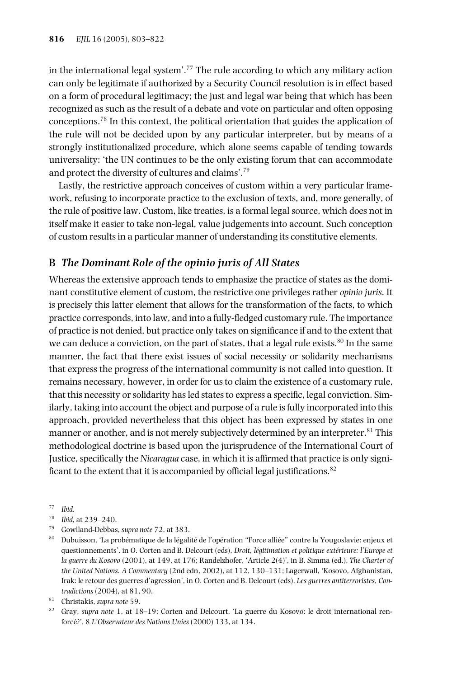in the international legal system'.77 The rule according to which any military action can only be legitimate if authorized by a Security Council resolution is in effect based on a form of procedural legitimacy; the just and legal war being that which has been recognized as such as the result of a debate and vote on particular and often opposing conceptions. <sup>78</sup> In this context, the political orientation that guides the application of the rule will not be decided upon by any particular interpreter, but by means of a strongly institutionalized procedure, which alone seems capable of tending towards universality: 'the UN continues to be the only existing forum that can accommodate and protect the diversity of cultures and claims'. 79

Lastly, the restrictive approach conceives of custom within a very particular framework, refusing to incorporate practice to the exclusion of texts, and, more generally, of the rule of positive law. Custom, like treaties, is a formal legal source, which does not in itself make it easier to take non-legal, value judgements into account. Such conception of custom resultsin a particular manner of understanding its constitutive elements.

#### **B** *The Dominant Role of the opinio juris of All States*

Whereas the extensive approach tends to emphasize the practice of states as the dominant constitutive element of custom, the restrictive one privileges rather *opinio juris*. It is precisely this latter element that allows for the transformation of the facts, to which practice corresponds, into law, and into a fully-fledged customary rule. The importance of practice is not denied, but practice only takes on significance if and to the extent that we can deduce a conviction, on the part of states, that a legal rule exists.<sup>80</sup> In the same manner, the fact that there exist issues of social necessity or solidarity mechanisms that express the progress of the international community is not called into question. It remains necessary, however, in order for us to claim the existence of a customary rule, that this necessity or solidarity has led states to express a specific, legal conviction. Similarly, taking into account the object and purpose of a rule isfully incorporated into this approach, provided nevertheless that this object has been expressed by states in one manner or another, and is not merely subjectively determined by an interpreter.<sup>81</sup> This methodological doctrine is based upon the jurisprudence of the International Court of Justice, specifically the *Nicaragua* case, in which it is affirmed that practice is only significant to the extent that it is accompanied by official legal justifications. $^{82}$ 

<sup>77</sup> *Ibid.*

- <sup>79</sup> Gowlland-Debbas, *supra note* 72, at 383.
- <sup>80</sup> Dubuisson, 'La probématique de la légalité de l'opération "Force alliée" contre la Yougoslavie: enjeux et questionnements', in O. Corten and B. Delcourt (eds), *Droit, légitimation et politique extérieure: l'Europe et la guerre du Kosovo* (2001), at 149, at 176; Randelzhofer, 'Article 2(4)', in B. Simma (ed.), *The Charter of the United Nations. A Commentary* (2nd edn, 2002), at 112, 130–131; Lagerwall, 'Kosovo, Afghanistan, Irak: le retour des guerres d'agression', in O. Corten and B. Delcourt (eds), *Les guerres antiterroristes*, *Contradictions* (2004), at 81, 90.
- <sup>81</sup> Christakis, *supra note* 59.

<sup>78</sup> *Ibid*, at 239–240.

<sup>82</sup> Gray, *supra note* 1, at 18–19; Corten and Delcourt, 'La guerre du Kosovo: le droit international renforcé?', 8 *L'Observateur des Nations Unies* (2000) 133, at 134.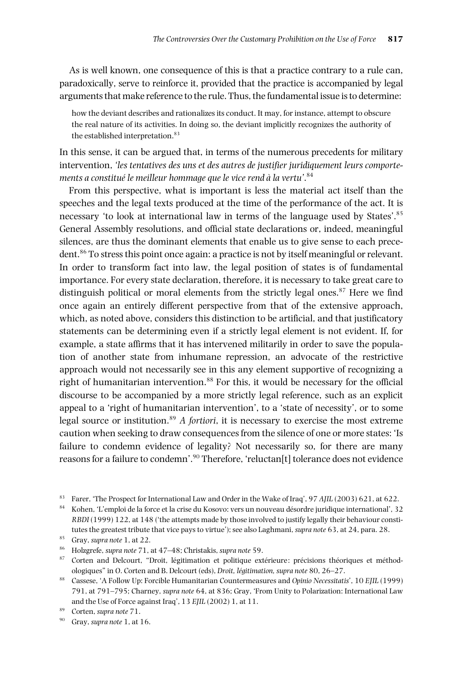As is well known, one consequence of this is that a practice contrary to a rule can, paradoxically, serve to reinforce it, provided that the practice is accompanied by legal arguments that make reference to the rule. Thus, the fundamental issue is to determine:

how the deviant describes and rationalizes its conduct. It may, for instance, attempt to obscure the real nature of its activities. In doing so, the deviant implicitly recognizes the authority of the established interpretation. 83

In this sense, it can be argued that, in terms of the numerous precedents for military intervention, *'les tentatives des uns et des autres de justifier juridiquement leurs comportements a constitué le meilleur hommage que le vice rend à la vertu'*. 84

From this perspective, what is important is less the material act itself than the speeches and the legal texts produced at the time of the performance of the act. It is necessary 'to look at international law in terms of the language used by States'.<sup>85</sup> General Assembly resolutions, and official state declarations or, indeed, meaningful silences, are thus the dominant elements that enable us to give sense to each precedent.<sup>86</sup> To stress this point once again: a practice is not by itself meaningful or relevant. In order to transform fact into law, the legal position of states is of fundamental importance. For every state declaration, therefore, it is necessary to take great care to distinguish political or moral elements from the strictly legal ones. $87$  Here we find once again an entirely different perspective from that of the extensive approach, which, as noted above, considers this distinction to be artificial, and that justificatory statements can be determining even if a strictly legal element is not evident. If, for example, a state affirms that it has intervened militarily in order to save the population of another state from inhumane repression, an advocate of the restrictive approach would not necessarily see in this any element supportive of recognizing a right of humanitarian intervention. <sup>88</sup> For this, it would be necessary for the official discourse to be accompanied by a more strictly legal reference, such as an explicit appeal to a 'right of humanitarian intervention', to a 'state of necessity', or to some legal source or institution.<sup>89</sup> *A fortiori*, it is necessary to exercise the most extreme caution when seeking to draw consequencesfrom the silence of one or more states: 'Is failure to condemn evidence of legality? Not necessarily so, for there are many reasons for a failure to condemn'. <sup>90</sup> Therefore, 'reluctan[t] tolerance does not evidence

<sup>83</sup> Farer, 'The Prospect for International Law and Order in the Wake of Iraq', 97 *AJIL* (2003) 621, at 622.

<sup>84</sup> Kohen, 'L'emploi de la force et la crise du Kosovo: vers un nouveau désordre juridique international', 32 *RBDI* (1999) 122, at 148 ('the attempts made by those involved to justify legally their behaviour constitutes the greatest tribute that vice pays to virtue'); see also Laghmani, *supra note* 63, at 24, para. 28.

<sup>85</sup> Gray, *supra note* 1, at 22.

<sup>86</sup> Holzgrefe, *supra note* 71, at 47–48; Christakis, *supra note* 59.

<sup>87</sup> Corten and Delcourt, "Droit, légitimation et politique extérieure: précisions théoriques et méthodologiques" in O. Corten and B. Delcourt (eds), *Droit, légitimation, supra note* 80, 26–27.

<sup>88</sup> Cassese, 'A Follow Up: Forcible Humanitarian Countermeasures and *Opinio Necessitatis*', 10 *EJIL* (1999) 791, at 791–795; Charney, *supra note* 64, at 836; Gray, 'From Unity to Polarization: International Law and the Use of Force against Iraq', 13 *EJIL* (2002) 1, at 11.

<sup>90</sup> Gray, *supra note* 1, at 16.

<sup>89</sup> Corten, *supra note* 71.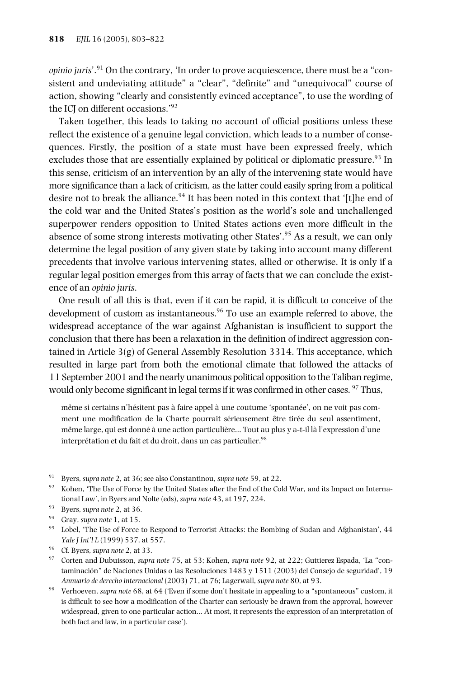*opinio juris*'. <sup>91</sup> On the contrary, 'In order to prove acquiescence, there must be a "consistent and undeviating attitude" a "clear", "definite" and "unequivocal" course of action, showing "clearly and consistently evinced acceptance", to use the wording of the ICJ on different occasions.' 92

Taken together, this leads to taking no account of official positions unless these reflect the existence of a genuine legal conviction, which leads to a number of consequences. Firstly, the position of a state must have been expressed freely, which excludes those that are essentially explained by political or diplomatic pressure.<sup>93</sup> In this sense, criticism of an intervention by an ally of the intervening state would have more significance than a lack of criticism, as the latter could easily spring from a political desire not to break the alliance.<sup>94</sup> It has been noted in this context that '[t]he end of the cold war and the United States's position as the world's sole and unchallenged superpower renders opposition to United States actions even more difficult in the absence of some strong interests motivating other States'.<sup>95</sup> As a result, we can only determine the legal position of any given state by taking into account many different precedents that involve various intervening states, allied or otherwise. It is only if a regular legal position emerges from this array of facts that we can conclude the existence of an *opinio juris*.

One result of all this is that, even if it can be rapid, it is difficult to conceive of the development of custom as instantaneous. <sup>96</sup> To use an example referred to above, the widespread acceptance of the war against Afghanistan is insufficient to support the conclusion that there has been a relaxation in the definition of indirect aggression contained in Article  $3(g)$  of General Assembly Resolution  $3314$ . This acceptance, which resulted in large part from both the emotional climate that followed the attacks of 11 September 2001 and the nearly unanimous political opposition to the Taliban regime, would only become significant in legal terms if it was confirmed in other cases. <sup>97</sup> Thus,

même si certains n'hésitent pas à faire appel à une coutume 'spontanée', on ne voit pas comment une modification de la Charte pourrait sérieusement être tirée du seul assentiment, même large, qui est donné à une action particulière… Tout au plus y a-t-il là l'expression d'une interprétation et du fait et du droit, dans un cas particulier. 98

- <sup>91</sup> Byers, *supra note* 2, at 36; see also Constantinou, *supra note* 59, at 22.
- 92 Kohen, 'The Use of Force by the United States after the End of the Cold War, and its Impact on International Law', in Byers and Nolte (eds), *supra note* 43, at 197, 224.
- <sup>93</sup> Byers, *supra note* 2, at 36.
- <sup>94</sup> Gray, *supra note* 1, at 15.
- <sup>95</sup> Lobel, 'The Use of Force to Respond to Terrorist Attacks: the Bombing of Sudan and Afghanistan', 44 *Yale J Int'l L* (1999) 537, at 557.
- <sup>96</sup> Cf. Byers, *supra note* 2, at 33.
- <sup>97</sup> Corten and Dubuisson, *supra note* 75, at 53; Kohen, *supra note* 92, at 222; Guttierez Espada, 'La "contaminación" de Naciones Unidas o las Resoluciones 1483 y 1511 (2003) del Consejo de seguridad', 19 *Annuario de derecho internacional* (2003) 71, at 76; Lagerwall, *supra note* 80, at 93.
- <sup>98</sup> Verhoeven, *supra note* 68, at 64 ('Even if some don't hesitate in appealing to a "spontaneous" custom, it is difficult to see how a modification of the Charter can seriously be drawn from the approval, however widespread, given to one particular action… At most, it represents the expression of an interpretation of both fact and law, in a particular case').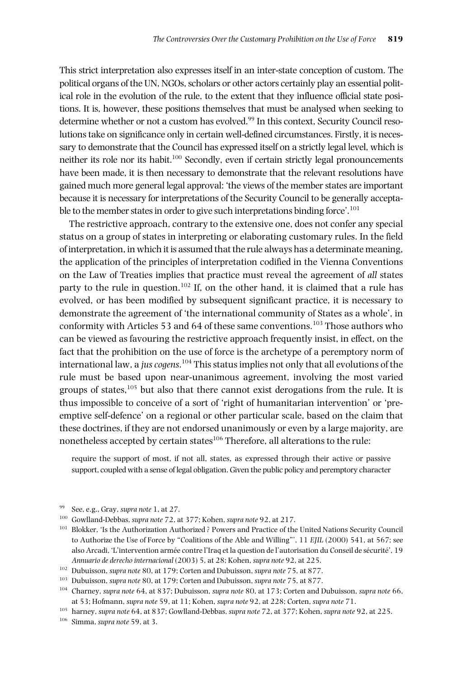This strict interpretation also expresses itself in an inter-state conception of custom. The political organs of the UN, NGOs, scholars or other actors certainly play an essential political role in the evolution of the rule, to the extent that they influence official state positions. It is, however, these positions themselves that must be analysed when seeking to determine whether or not a custom has evolved. <sup>99</sup> In this context, Security Council resolutionstake on significance only in certain well-defined circumstances. Firstly, it is necessary to demonstrate that the Council has expressed itself on a strictly legal level, which is neither its role nor its habit. <sup>100</sup> Secondly, even if certain strictly legal pronouncements have been made, it is then necessary to demonstrate that the relevant resolutions have gained much more general legal approval: 'the views of the member states are important because it is necessary for interpretations of the Security Council to be generally acceptable to the member states in order to give such interpretations binding force'. $^{101}$ 

The restrictive approach, contrary to the extensive one, does not confer any special status on a group of states in interpreting or elaborating customary rules. In the field of interpretation, in which it is assumed that the rule always has a determinate meaning, the application of the principles of interpretation codified in the Vienna Conventions on the Law of Treaties implies that practice must reveal the agreement of *all* states party to the rule in question.<sup>102</sup> If, on the other hand, it is claimed that a rule has evolved, or has been modified by subsequent significant practice, it is necessary to demonstrate the agreement of 'the international community of States as a whole', in conformity with Articles 53 and 64 of these same conventions. <sup>103</sup> Those authors who can be viewed as favouring the restrictive approach frequently insist, in effect, on the fact that the prohibition on the use of force is the archetype of a peremptory norm of international law, a *juscogens*. <sup>104</sup> This status implies not only that all evolutions of the rule must be based upon near-unanimous agreement, involving the most varied groups of states, <sup>105</sup> but also that there cannot exist derogations from the rule. It is thus impossible to conceive of a sort of 'right of humanitarian intervention' or 'preemptive self-defence' on a regional or other particular scale, based on the claim that these doctrines, if they are not endorsed unanimously or even by a large majority, are nonetheless accepted by certain states $^{106}$  Therefore, all alterations to the rule:

require the support of most, if not all, states, as expressed through their active or passive support, coupled with a sense of legal obligation. Given the public policy and peremptory character

<sup>99</sup> See, e.g., Gray, *supra note* 1, at 27.

<sup>100</sup> Gowlland-Debbas, *supra note* 72, at 377; Kohen, *supra note* 92, at 217.

<sup>101</sup> Blokker, 'Is the Authorization Authorized ? Powers and Practice of the United Nations Security Council to Authorize the Use of Force by "Coalitions of the Able and Willing"', 11 *EJIL* (2000) 541, at 567; see also Arcadi, 'L'intervention armée contre l'Iraq et la question de l'autorisation du Conseil de sécurité', 19 *Annuario de derecho internacional* (2003) 5, at 28; Kohen, *supra note* 92, at 225.

<sup>102</sup> Dubuisson, *supra note* 80, at 179; Corten and Dubuisson, *supra note* 75, at 877.

<sup>103</sup> Dubuisson, *supra note* 80, at 179; Corten and Dubuisson, *supra note* 75, at 877.

<sup>104</sup> Charney, *supra note* 64, at 837; Dubuisson, *supra note* 80, at 173; Corten and Dubuisson, *supra note* 66, at 53; Hofmann, *supra note* 59, at 11; Kohen, *supra note* 92, at 228; Corten, *supra note* 71.

<sup>105</sup> harney, *supra note* 64, at 837; Gowlland-Debbas, *supra note* 72, at 377; Kohen, *supra note* 92, at 225.

<sup>106</sup> Simma, *supra note* 59, at 3.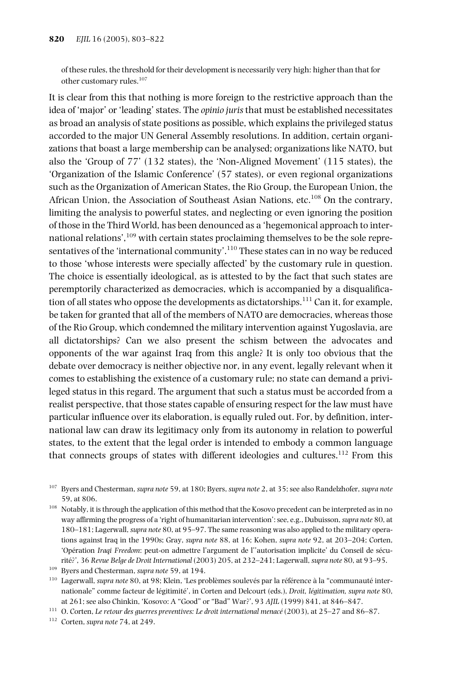of these rules, the threshold for their development is necessarily very high: higher than that for other customary rules. 107

It is clear from this that nothing is more foreign to the restrictive approach than the idea of 'major' or 'leading' states. The *opinio juris* that must be established necessitates as broad an analysis of state positions as possible, which explains the privileged status accorded to the major UN General Assembly resolutions. In addition, certain organizations that boast a large membership can be analysed; organizations like NATO, but also the 'Group of 77' (132 states), the 'Non-Aligned Movement' (115 states), the 'Organization of the Islamic Conference' (57 states), or even regional organizations such as the Organization of American States, the Rio Group, the European Union, the African Union, the Association of Southeast Asian Nations, etc.<sup>108</sup> On the contrary, limiting the analysis to powerful states, and neglecting or even ignoring the position of those in the Third World, has been denounced as a 'hegemonical approach to international relations',109 with certain states proclaiming themselves to be the sole representatives of the 'international community'.<sup>110</sup> These states can in no way be reduced to those 'whose interests were specially affected' by the customary rule in question. The choice is essentially ideological, as is attested to by the fact that such states are peremptorily characterized as democracies, which is accompanied by a disqualification of all states who oppose the developments as dictatorships. <sup>111</sup> Can it, for example, be taken for granted that all of the members of NATO are democracies, whereas those of the Rio Group, which condemned the military intervention against Yugoslavia, are all dictatorships? Can we also present the schism between the advocates and opponents of the war against Iraq from this angle? It is only too obvious that the debate over democracy is neither objective nor, in any event, legally relevant when it comes to establishing the existence of a customary rule; no state can demand a privileged status in this regard. The argument that such a status must be accorded from a realist perspective, that those states capable of ensuring respect for the law must have particular influence over its elaboration, is equally ruled out. For, by definition, international law can draw its legitimacy only from its autonomy in relation to powerful states, to the extent that the legal order is intended to embody a common language that connects groups of states with different ideologies and cultures.<sup>112</sup> From this

<sup>110</sup> Lagerwall, *supra note* 80, at 98; Klein, 'Les problèmes soulevés par la référence à la "communauté internationale" comme facteur de légitimité', in Corten and Delcourt (eds.), *Droit, légitimation, supra note* 80, at 261; see also Chinkin, 'Kosovo: A "Good" or "Bad" War?', 93 *AJIL* (1999) 841, at 846–847.

<sup>111</sup> O. Corten, *Le retour des guerres preventives: Le droit international menacé* (2003), at 25–27 and 86–87.

<sup>112</sup> Corten, *supra note* 74, at 249.

<sup>107</sup> Byers and Chesterman, *supra note* 59, at 180; Byers, *supra note* 2, at 35; see also Randelzhofer, *supra note* 59, at 806.

<sup>&</sup>lt;sup>108</sup> Notably, it is through the application of this method that the Kosovo precedent can be interpreted as in no way affirming the progress of a 'right of humanitarian intervention':see, e.g., Dubuisson,*supra note* 80, at 180–181; Lagerwall, *supra note* 80, at 95–97. The same reasoning was also applied to the military operations against Iraq in the 1990s; Gray, *supra note* 88, at 16; Kohen, *supra note* 92, at 203–204; Corten, 'Opération *Iraqi Freedom*: peut-on admettre l'argument de l''autorisation implicite' du Conseil de sécurité?', 36 *Revue Belge de Droit International* (2003) 205, at 232–241; Lagerwall, *supra note* 80, at 93–95.

<sup>109</sup> Byers and Chesterman, *supra note* 59, at 194.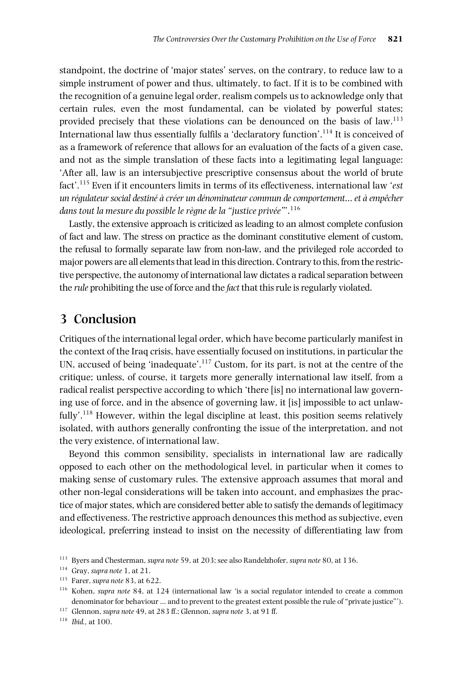standpoint, the doctrine of 'major states' serves, on the contrary, to reduce law to a simple instrument of power and thus, ultimately, to fact. If it is to be combined with the recognition of a genuine legal order, realism compels us to acknowledge only that certain rules, even the most fundamental, can be violated by powerful states; provided precisely that these violations can be denounced on the basis of law.<sup>113</sup> International law thus essentially fulfils a 'declaratory function'. $^{114}$  It is conceived of as a framework of reference that allows for an evaluation of the facts of a given case, and not as the simple translation of these facts into a legitimating legal language: 'After all, law is an intersubjective prescriptive consensus about the world of brute fact'. <sup>115</sup> Even if it encounters limits in terms of its effectiveness, international law '*est un régulateur social destiné à créer un dénominateur commun de comportement… et à empêcher dans tout la mesure du possible le règne de la "justice privée"*'. 116

Lastly, the extensive approach is criticized as leading to an almost complete confusion of fact and law. The stress on practice as the dominant constitutive element of custom, the refusal to formally separate law from non-law, and the privileged role accorded to major powers are all elements that lead in this direction. Contrary to this, from the restrictive perspective, the autonomy of international law dictates a radicalseparation between the *rule* prohibiting the use of force and the *fact* that thisrule isregularly violated.

### **3 Conclusion**

Critiques of the international legal order, which have become particularly manifest in the context of the Iraq crisis, have essentially focused on institutions, in particular the UN, accused of being 'inadequate'.<sup>117</sup> Custom, for its part, is not at the centre of the critique; unless, of course, it targets more generally international law itself, from a radical realist perspective according to which 'there [is] no international law governing use of force, and in the absence of governing law, it [is] impossible to act unlawfully'.<sup>118</sup> However, within the legal discipline at least, this position seems relatively isolated, with authors generally confronting the issue of the interpretation, and not the very existence, of international law.

Beyond this common sensibility, specialists in international law are radically opposed to each other on the methodological level, in particular when it comes to making sense of customary rules. The extensive approach assumes that moral and other non-legal considerations will be taken into account, and emphasizes the practice of major states, which are considered better able to satisfy the demands of legitimacy and effectiveness. The restrictive approach denounces this method as subjective, even ideological, preferring instead to insist on the necessity of differentiating law from

<sup>118</sup> *Ibid.,* at 100.

<sup>113</sup> Byers and Chesterman, *supra note* 59, at 203; see also Randelzhofer, *supra note* 80, at 136.

<sup>114</sup> Gray, *supra note* 1, at 21.

<sup>115</sup> Farer, *supra note* 83, at 622.

<sup>116</sup> Kohen, *supra note* 84, at 124 (international law 'is a social regulator intended to create a common denominator for behaviour … and to prevent to the greatest extent possible the rule of "private justice"').

<sup>117</sup> Glennon, *supra note* 49, at 283 ff.; Glennon, *supra note* 3, at 91 ff.